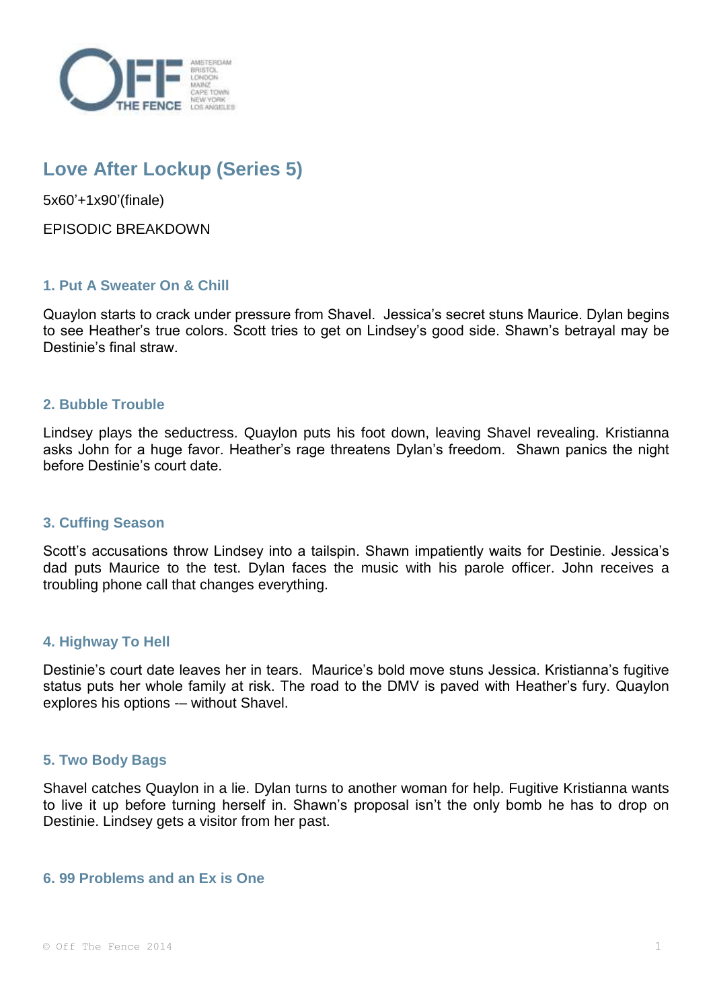

# **Love After Lockup (Series 5)**

5x60'+1x90'(finale)

EPISODIC BREAKDOWN

## **1. Put A Sweater On & Chill**

Quaylon starts to crack under pressure from Shavel. Jessica's secret stuns Maurice. Dylan begins to see Heather's true colors. Scott tries to get on Lindsey's good side. Shawn's betrayal may be Destinie's final straw.

### **2. Bubble Trouble**

Lindsey plays the seductress. Quaylon puts his foot down, leaving Shavel revealing. Kristianna asks John for a huge favor. Heather's rage threatens Dylan's freedom. Shawn panics the night before Destinie's court date.

### **3. Cuffing Season**

Scott's accusations throw Lindsey into a tailspin. Shawn impatiently waits for Destinie. Jessica's dad puts Maurice to the test. Dylan faces the music with his parole officer. John receives a troubling phone call that changes everything.

### **4. Highway To Hell**

Destinie's court date leaves her in tears. Maurice's bold move stuns Jessica. Kristianna's fugitive status puts her whole family at risk. The road to the DMV is paved with Heather's fury. Quaylon explores his options -– without Shavel.

### **5. Two Body Bags**

Shavel catches Quaylon in a lie. Dylan turns to another woman for help. Fugitive Kristianna wants to live it up before turning herself in. Shawn's proposal isn't the only bomb he has to drop on Destinie. Lindsey gets a visitor from her past.

### **6. 99 Problems and an Ex is One**